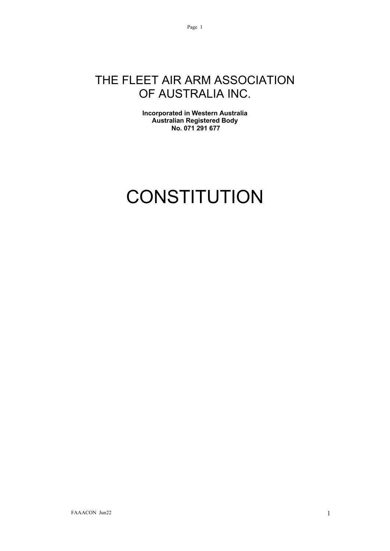# THE FLEET AIR ARM ASSOCIATION OF AUSTRALIA INC.

Page 1

**Incorporated in Western Australia Australian Registered Body No. 071 291 677**

# **CONSTITUTION**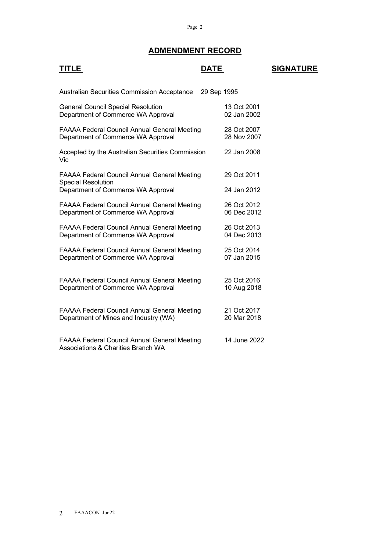#### **ADMENDMENT RECORD**

| <u>TITLE</u>                                                                                                           | DATE                       | <b>SIGNATURE</b> |
|------------------------------------------------------------------------------------------------------------------------|----------------------------|------------------|
| <b>Australian Securities Commission Acceptance</b>                                                                     | 29 Sep 1995                |                  |
| <b>General Council Special Resolution</b><br>Department of Commerce WA Approval                                        | 13 Oct 2001<br>02 Jan 2002 |                  |
| <b>FAAAA Federal Council Annual General Meeting</b><br>Department of Commerce WA Approval                              | 28 Oct 2007<br>28 Nov 2007 |                  |
| Accepted by the Australian Securities Commission<br>Vic                                                                | 22 Jan 2008                |                  |
| <b>FAAAA Federal Council Annual General Meeting</b><br><b>Special Resolution</b><br>Department of Commerce WA Approval | 29 Oct 2011<br>24 Jan 2012 |                  |
| <b>FAAAA Federal Council Annual General Meeting</b><br>Department of Commerce WA Approval                              | 26 Oct 2012<br>06 Dec 2012 |                  |
| <b>FAAAA Federal Council Annual General Meeting</b><br>Department of Commerce WA Approval                              | 26 Oct 2013<br>04 Dec 2013 |                  |
| <b>FAAAA Federal Council Annual General Meeting</b><br>Department of Commerce WA Approval                              | 25 Oct 2014<br>07 Jan 2015 |                  |
| FAAAA Federal Council Annual General Meeting<br>Department of Commerce WA Approval                                     | 25 Oct 2016<br>10 Aug 2018 |                  |
| <b>FAAAA Federal Council Annual General Meeting</b><br>Department of Mines and Industry (WA)                           | 21 Oct 2017<br>20 Mar 2018 |                  |
| <b>FAAAA Federal Council Annual General Meeting</b><br><b>Associations &amp; Charities Branch WA</b>                   | 14 June 2022               |                  |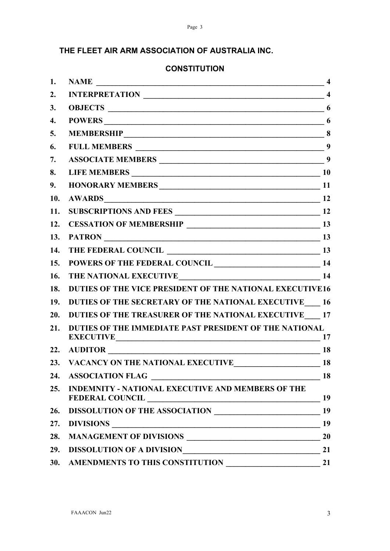#### **THE FLEET AIR ARM ASSOCIATION OF AUSTRALIA INC.**

| 1.  | $\sim$ 4                                                                                                                                        |    |
|-----|-------------------------------------------------------------------------------------------------------------------------------------------------|----|
| 2.  |                                                                                                                                                 |    |
| 3.  |                                                                                                                                                 | 6  |
| 4.  | <b>POWERS</b><br>$\overline{\phantom{a}}$ 6                                                                                                     |    |
| 5.  |                                                                                                                                                 |    |
| 6.  |                                                                                                                                                 |    |
| 7.  |                                                                                                                                                 |    |
| 8.  |                                                                                                                                                 |    |
| 9.  | HONORARY MEMBERS 11                                                                                                                             |    |
| 10. | $\overline{\phantom{a}}$ 12<br><b>AWARDS</b>                                                                                                    |    |
| 11. |                                                                                                                                                 |    |
| 12. |                                                                                                                                                 |    |
| 13. |                                                                                                                                                 |    |
| 14. |                                                                                                                                                 |    |
| 15. | THE FEDERAL COUNCIL<br>POWERS OF THE FEDERAL COUNCIL                                                                                            |    |
| 16. | THE NATIONAL EXECUTIVE 14                                                                                                                       |    |
| 18. | DUTIES OF THE VICE PRESIDENT OF THE NATIONAL EXECUTIVE16                                                                                        |    |
| 19. | DUTIES OF THE SECRETARY OF THE NATIONAL EXECUTIVE 16                                                                                            |    |
| 20. | DUTIES OF THE TREASURER OF THE NATIONAL EXECUTIVE 17                                                                                            |    |
| 21. | DUTIES OF THE IMMEDIATE PAST PRESIDENT OF THE NATIONAL<br>EXECUTIVE 17                                                                          |    |
|     | 22. AUDITOR 18                                                                                                                                  |    |
|     |                                                                                                                                                 |    |
| 24. | <u> 1989 - Johann Stein, mars ar breithinn ar breithinn ar breithinn ar breithinn ar breithinn ar breithinn ar b</u><br><b>ASSOCIATION FLAG</b> | 18 |
| 25. | <b>INDEMNITY - NATIONAL EXECUTIVE AND MEMBERS OF THE</b><br><b>FEDERAL COUNCIL</b><br>$\sim$ 19                                                 |    |
| 26. |                                                                                                                                                 |    |
| 27. | DIVISIONS 19                                                                                                                                    |    |
| 28. |                                                                                                                                                 | 20 |
| 29. | DISSOLUTION OF A DIVISIONNATION                                                                                                                 | 21 |
| 30. | AMENDMENTS TO THIS CONSTITUTION                                                                                                                 | 21 |

#### **CONSTITUTION**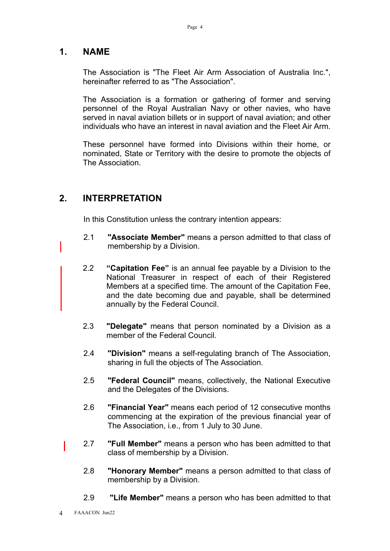#### **1. NAME**

The Association is "The Fleet Air Arm Association of Australia Inc.", hereinafter referred to as "The Association".

The Association is a formation or gathering of former and serving personnel of the Royal Australian Navy or other navies, who have served in naval aviation billets or in support of naval aviation; and other individuals who have an interest in naval aviation and the Fleet Air Arm.

These personnel have formed into Divisions within their home, or nominated, State or Territory with the desire to promote the objects of The Association.

#### **2. INTERPRETATION**

In this Constitution unless the contrary intention appears:

- 2.1 **"Associate Member"** means a person admitted to that class of membership by a Division.
- 2.2 **"Capitation Fee"** is an annual fee payable by a Division to the National Treasurer in respect of each of their Registered Members at a specified time. The amount of the Capitation Fee, and the date becoming due and payable, shall be determined annually by the Federal Council.
- 2.3 **"Delegate"** means that person nominated by a Division as a member of the Federal Council.
- 2.4 **"Division"** means a self-regulating branch of The Association, sharing in full the objects of The Association.
- 2.5 **"Federal Council"** means, collectively, the National Executive and the Delegates of the Divisions.
- 2.6 **"Financial Year"** means each period of 12 consecutive months commencing at the expiration of the previous financial year of The Association, i.e., from 1 July to 30 June.
- 2.7 **"Full Member"** means a person who has been admitted to that class of membership by a Division.
	- 2.8 **"Honorary Member"** means a person admitted to that class of membership by a Division.
	- 2.9 **"Life Member"** means a person who has been admitted to that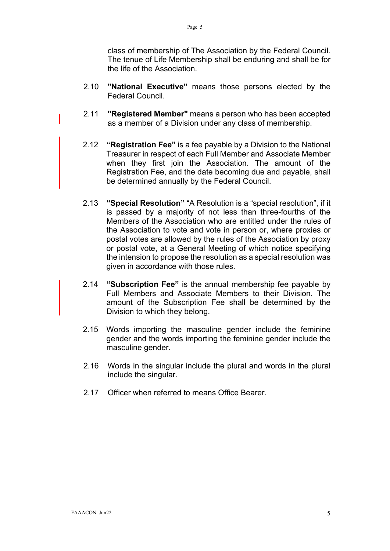class of membership of The Association by the Federal Council. The tenue of Life Membership shall be enduring and shall be for the life of the Association.

- 2.10 **"National Executive"** means those persons elected by the Federal Council.
- 2.11 **"Registered Member"** means a person who has been accepted as a member of a Division under any class of membership.
- 2.12 **"Registration Fee"** is a fee payable by a Division to the National Treasurer in respect of each Full Member and Associate Member when they first join the Association. The amount of the Registration Fee, and the date becoming due and payable, shall be determined annually by the Federal Council.
- 2.13 **"Special Resolution"** "A Resolution is a "special resolution", if it is passed by a majority of not less than three-fourths of the Members of the Association who are entitled under the rules of the Association to vote and vote in person or, where proxies or postal votes are allowed by the rules of the Association by proxy or postal vote, at a General Meeting of which notice specifying the intension to propose the resolution as a special resolution was given in accordance with those rules.
- 2.14 **"Subscription Fee"** is the annual membership fee payable by Full Members and Associate Members to their Division. The amount of the Subscription Fee shall be determined by the Division to which they belong.
- 2.15 Words importing the masculine gender include the feminine gender and the words importing the feminine gender include the masculine gender.
- 2.16 Words in the singular include the plural and words in the plural include the singular.
- 2.17 Officer when referred to means Office Bearer.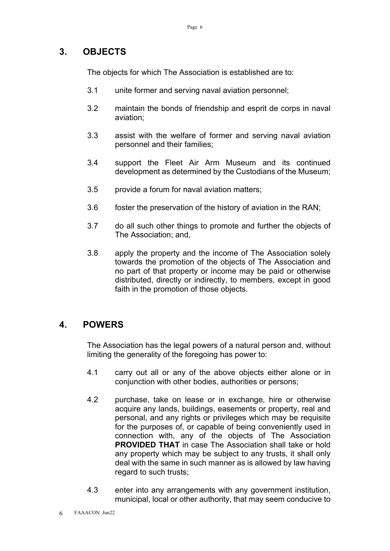#### **3. OBJECTS**

The objects for which The Association is established are to:

- 3.1 unite former and serving naval aviation personnel;
- 3.2 maintain the bonds of friendship and esprit de corps in naval aviation;
- 3.3 assist with the welfare of former and serving naval aviation personnel and their families;
- 3.4 support the Fleet Air Arm Museum and its continued development as determined by the Custodians of the Museum;
- 3.5 provide a forum for naval aviation matters;
- 3.6 foster the preservation of the history of aviation in the RAN;
- 3.7 do all such other things to promote and further the objects of The Association; and,
- 3.8 apply the property and the income of The Association solely towards the promotion of the objects of The Association and no part of that property or income may be paid or otherwise distributed, directly or indirectly, to members, except in good faith in the promotion of those objects.

#### **4. POWERS**

The Association has the legal powers of a natural person and, without limiting the generality of the foregoing has power to:

- 4.1 carry out all or any of the above objects either alone or in conjunction with other bodies, authorities or persons;
- 4.2 purchase, take on lease or in exchange, hire or otherwise acquire any lands, buildings, easements or property, real and personal, and any rights or privileges which may be requisite for the purposes of, or capable of being conveniently used in connection with, any of the objects of The Association **PROVIDED THAT** in case The Association shall take or hold any property which may be subject to any trusts, it shall only deal with the same in such manner as is allowed by law having regard to such trusts;
- 4.3 enter into any arrangements with any government institution, municipal, local or other authority, that may seem conducive to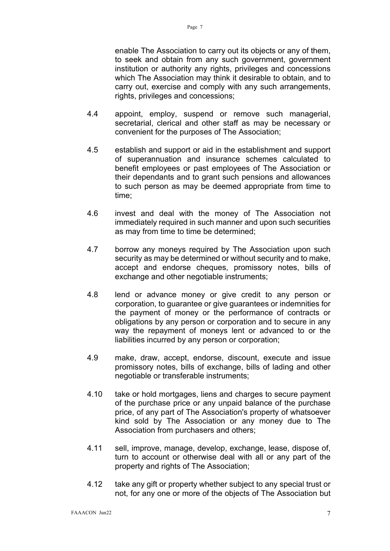enable The Association to carry out its objects or any of them, to seek and obtain from any such government, government institution or authority any rights, privileges and concessions which The Association may think it desirable to obtain, and to carry out, exercise and comply with any such arrangements, rights, privileges and concessions;

- 4.4 appoint, employ, suspend or remove such managerial, secretarial, clerical and other staff as may be necessary or convenient for the purposes of The Association;
- 4.5 establish and support or aid in the establishment and support of superannuation and insurance schemes calculated to benefit employees or past employees of The Association or their dependants and to grant such pensions and allowances to such person as may be deemed appropriate from time to time;
- 4.6 invest and deal with the money of The Association not immediately required in such manner and upon such securities as may from time to time be determined;
- 4.7 borrow any moneys required by The Association upon such security as may be determined or without security and to make, accept and endorse cheques, promissory notes, bills of exchange and other negotiable instruments;
- 4.8 lend or advance money or give credit to any person or corporation, to guarantee or give guarantees or indemnities for the payment of money or the performance of contracts or obligations by any person or corporation and to secure in any way the repayment of moneys lent or advanced to or the liabilities incurred by any person or corporation;
- 4.9 make, draw, accept, endorse, discount, execute and issue promissory notes, bills of exchange, bills of lading and other negotiable or transferable instruments;
- 4.10 take or hold mortgages, liens and charges to secure payment of the purchase price or any unpaid balance of the purchase price, of any part of The Association's property of whatsoever kind sold by The Association or any money due to The Association from purchasers and others;
- 4.11 sell, improve, manage, develop, exchange, lease, dispose of, turn to account or otherwise deal with all or any part of the property and rights of The Association;
- 4.12 take any gift or property whether subject to any special trust or not, for any one or more of the objects of The Association but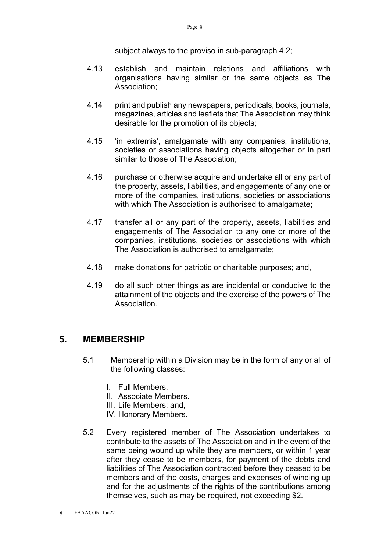Page 8

- 4.13 establish and maintain relations and affiliations with organisations having similar or the same objects as The Association;
- 4.14 print and publish any newspapers, periodicals, books, journals, magazines, articles and leaflets that The Association may think desirable for the promotion of its objects;
- 4.15 'in extremis', amalgamate with any companies, institutions, societies or associations having objects altogether or in part similar to those of The Association;
- 4.16 purchase or otherwise acquire and undertake all or any part of the property, assets, liabilities, and engagements of any one or more of the companies, institutions, societies or associations with which The Association is authorised to amalgamate;
- 4.17 transfer all or any part of the property, assets, liabilities and engagements of The Association to any one or more of the companies, institutions, societies or associations with which The Association is authorised to amalgamate;
- 4.18 make donations for patriotic or charitable purposes; and,
- 4.19 do all such other things as are incidental or conducive to the attainment of the objects and the exercise of the powers of The Association.

#### **5. MEMBERSHIP**

- 5.1 Membership within a Division may be in the form of any or all of the following classes:
	- I. Full Members.
	- II. Associate Members.
	- III. Life Members; and,
	- IV. Honorary Members.
- 5.2 Every registered member of The Association undertakes to contribute to the assets of The Association and in the event of the same being wound up while they are members, or within 1 year after they cease to be members, for payment of the debts and liabilities of The Association contracted before they ceased to be members and of the costs, charges and expenses of winding up and for the adjustments of the rights of the contributions among themselves, such as may be required, not exceeding \$2.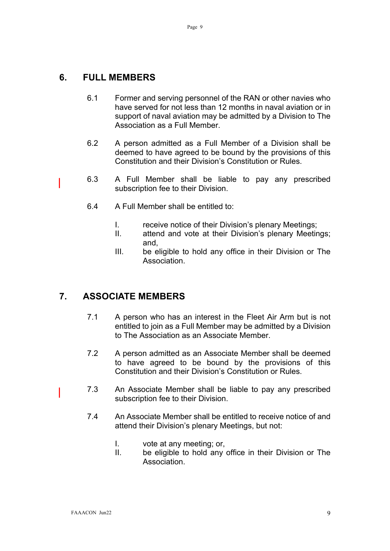#### **6. FULL MEMBERS**

- 6.1 Former and serving personnel of the RAN or other navies who have served for not less than 12 months in naval aviation or in support of naval aviation may be admitted by a Division to The Association as a Full Member.
- 6.2 A person admitted as a Full Member of a Division shall be deemed to have agreed to be bound by the provisions of this Constitution and their Division's Constitution or Rules.
- 6.3 A Full Member shall be liable to pay any prescribed subscription fee to their Division.
	- 6.4 A Full Member shall be entitled to:
		- I. receive notice of their Division's plenary Meetings;
		- II. attend and vote at their Division's plenary Meetings; and,
		- III. be eligible to hold any office in their Division or The Association.

# **7. ASSOCIATE MEMBERS**

- 7.1 A person who has an interest in the Fleet Air Arm but is not entitled to join as a Full Member may be admitted by a Division to The Association as an Associate Member.
- 7.2 A person admitted as an Associate Member shall be deemed to have agreed to be bound by the provisions of this Constitution and their Division's Constitution or Rules.
- 7.3 An Associate Member shall be liable to pay any prescribed subscription fee to their Division.
- 7.4 An Associate Member shall be entitled to receive notice of and attend their Division's plenary Meetings, but not:
	- I. vote at any meeting; or,
	- II. be eligible to hold any office in their Division or The Association.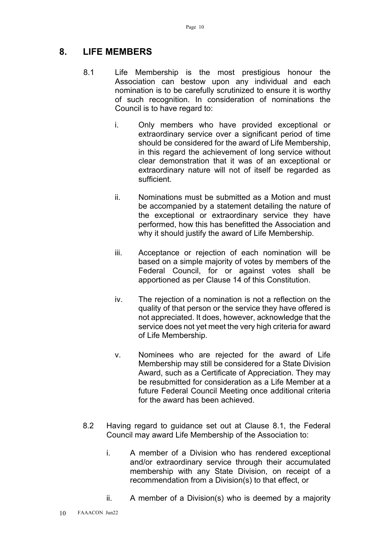#### **8. LIFE MEMBERS**

- 8.1 Life Membership is the most prestigious honour the Association can bestow upon any individual and each nomination is to be carefully scrutinized to ensure it is worthy of such recognition. In consideration of nominations the Council is to have regard to:
	- i. Only members who have provided exceptional or extraordinary service over a significant period of time should be considered for the award of Life Membership, in this regard the achievement of long service without clear demonstration that it was of an exceptional or extraordinary nature will not of itself be regarded as sufficient.
	- ii. Nominations must be submitted as a Motion and must be accompanied by a statement detailing the nature of the exceptional or extraordinary service they have performed, how this has benefitted the Association and why it should justify the award of Life Membership.
	- iii. Acceptance or rejection of each nomination will be based on a simple majority of votes by members of the Federal Council, for or against votes shall be apportioned as per Clause 14 of this Constitution.
	- iv. The rejection of a nomination is not a reflection on the quality of that person or the service they have offered is not appreciated. It does, however, acknowledge that the service does not yet meet the very high criteria for award of Life Membership.
	- v. Nominees who are rejected for the award of Life Membership may still be considered for a State Division Award, such as a Certificate of Appreciation. They may be resubmitted for consideration as a Life Member at a future Federal Council Meeting once additional criteria for the award has been achieved.
- 8.2 Having regard to guidance set out at Clause 8.1, the Federal Council may award Life Membership of the Association to:
	- i. A member of a Division who has rendered exceptional and/or extraordinary service through their accumulated membership with any State Division, on receipt of a recommendation from a Division(s) to that effect, or
	- ii. A member of a Division(s) who is deemed by a majority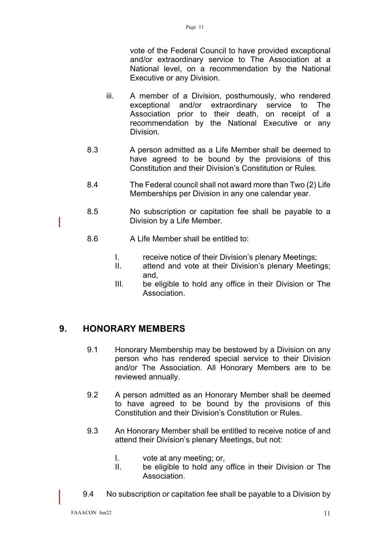vote of the Federal Council to have provided exceptional and/or extraordinary service to The Association at a National level, on a recommendation by the National Executive or any Division.

- iii. A member of a Division, posthumously, who rendered exceptional and/or extraordinary service to The Association prior to their death, on receipt of a recommendation by the National Executive or any Division.
- 8.3 A person admitted as a Life Member shall be deemed to have agreed to be bound by the provisions of this Constitution and their Division's Constitution or Rules.
- 8.4 The Federal council shall not award more than Two (2) Life Memberships per Division in any one calendar year.
- 8.5 No subscription or capitation fee shall be payable to a Division by a Life Member.
- 8.6 A Life Member shall be entitled to:
	- I. receive notice of their Division's plenary Meetings;
	- II. attend and vote at their Division's plenary Meetings; and,
	- III. be eligible to hold any office in their Division or The Association.

#### **9. HONORARY MEMBERS**

- 9.1 Honorary Membership may be bestowed by a Division on any person who has rendered special service to their Division and/or The Association. All Honorary Members are to be reviewed annually.
- 9.2 A person admitted as an Honorary Member shall be deemed to have agreed to be bound by the provisions of this Constitution and their Division's Constitution or Rules.
- 9.3 An Honorary Member shall be entitled to receive notice of and attend their Division's plenary Meetings, but not:
	- I. vote at any meeting; or,
	- II. be eligible to hold any office in their Division or The Association.
- 9.4 No subscription or capitation fee shall be payable to a Division by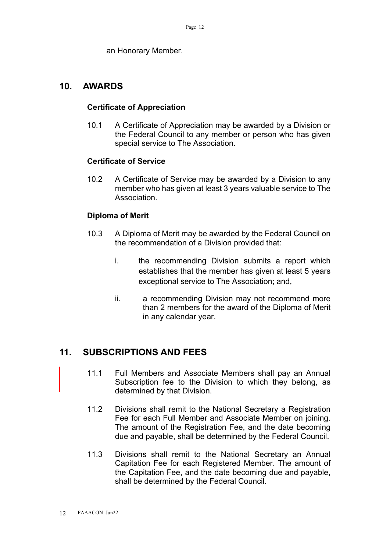an Honorary Member.

#### **10. AWARDS**

#### **Certificate of Appreciation**

10.1 A Certificate of Appreciation may be awarded by a Division or the Federal Council to any member or person who has given special service to The Association.

#### **Certificate of Service**

10.2 A Certificate of Service may be awarded by a Division to any member who has given at least 3 years valuable service to The Association.

#### **Diploma of Merit**

- 10.3 A Diploma of Merit may be awarded by the Federal Council on the recommendation of a Division provided that:
	- i. the recommending Division submits a report which establishes that the member has given at least 5 years exceptional service to The Association; and,
	- ii. a recommending Division may not recommend more than 2 members for the award of the Diploma of Merit in any calendar year.

#### **11. SUBSCRIPTIONS AND FEES**

- 11.1 Full Members and Associate Members shall pay an Annual Subscription fee to the Division to which they belong, as determined by that Division.
- 11.2 Divisions shall remit to the National Secretary a Registration Fee for each Full Member and Associate Member on joining. The amount of the Registration Fee, and the date becoming due and payable, shall be determined by the Federal Council.
- 11.3 Divisions shall remit to the National Secretary an Annual Capitation Fee for each Registered Member. The amount of the Capitation Fee, and the date becoming due and payable, shall be determined by the Federal Council.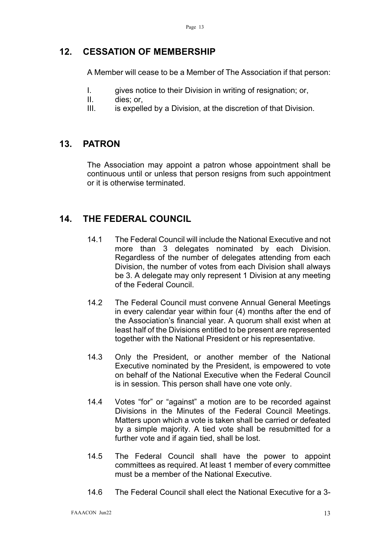#### **12. CESSATION OF MEMBERSHIP**

A Member will cease to be a Member of The Association if that person:

- I. gives notice to their Division in writing of resignation; or,
- II. dies; or,
- III. is expelled by a Division, at the discretion of that Division.

#### **13. PATRON**

The Association may appoint a patron whose appointment shall be continuous until or unless that person resigns from such appointment or it is otherwise terminated.

### **14. THE FEDERAL COUNCIL**

- 14.1 The Federal Council will include the National Executive and not more than 3 delegates nominated by each Division. Regardless of the number of delegates attending from each Division, the number of votes from each Division shall always be 3. A delegate may only represent 1 Division at any meeting of the Federal Council.
- 14.2 The Federal Council must convene Annual General Meetings in every calendar year within four (4) months after the end of the Association's financial year. A quorum shall exist when at least half of the Divisions entitled to be present are represented together with the National President or his representative.
- 14.3 Only the President, or another member of the National Executive nominated by the President, is empowered to vote on behalf of the National Executive when the Federal Council is in session. This person shall have one vote only.
- 14.4 Votes "for" or "against" a motion are to be recorded against Divisions in the Minutes of the Federal Council Meetings. Matters upon which a vote is taken shall be carried or defeated by a simple majority. A tied vote shall be resubmitted for a further vote and if again tied, shall be lost.
- 14.5 The Federal Council shall have the power to appoint committees as required. At least 1 member of every committee must be a member of the National Executive.
- 14.6 The Federal Council shall elect the National Executive for a 3-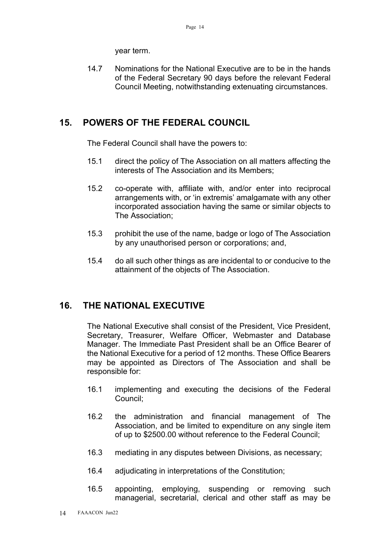year term.

14.7 Nominations for the National Executive are to be in the hands of the Federal Secretary 90 days before the relevant Federal Council Meeting, notwithstanding extenuating circumstances.

#### **15. POWERS OF THE FEDERAL COUNCIL**

The Federal Council shall have the powers to:

- 15.1 direct the policy of The Association on all matters affecting the interests of The Association and its Members;
- 15.2 co-operate with, affiliate with, and/or enter into reciprocal arrangements with, or 'in extremis' amalgamate with any other incorporated association having the same or similar objects to The Association;
- 15.3 prohibit the use of the name, badge or logo of The Association by any unauthorised person or corporations; and,
- 15.4 do all such other things as are incidental to or conducive to the attainment of the objects of The Association.

#### **16. THE NATIONAL EXECUTIVE**

The National Executive shall consist of the President, Vice President, Secretary, Treasurer, Welfare Officer, Webmaster and Database Manager. The Immediate Past President shall be an Office Bearer of the National Executive for a period of 12 months. These Office Bearers may be appointed as Directors of The Association and shall be responsible for:

- 16.1 implementing and executing the decisions of the Federal Council;
- 16.2 the administration and financial management of The Association, and be limited to expenditure on any single item of up to \$2500.00 without reference to the Federal Council;
- 16.3 mediating in any disputes between Divisions, as necessary;
- 16.4 adjudicating in interpretations of the Constitution;
- 16.5 appointing, employing, suspending or removing such managerial, secretarial, clerical and other staff as may be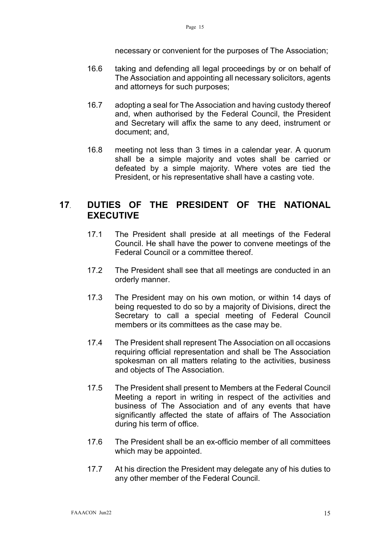necessary or convenient for the purposes of The Association;

- 16.6 taking and defending all legal proceedings by or on behalf of The Association and appointing all necessary solicitors, agents and attorneys for such purposes;
- 16.7 adopting a seal for The Association and having custody thereof and, when authorised by the Federal Council, the President and Secretary will affix the same to any deed, instrument or document; and,
- 16.8 meeting not less than 3 times in a calendar year. A quorum shall be a simple majority and votes shall be carried or defeated by a simple majority. Where votes are tied the President, or his representative shall have a casting vote.

#### **17**. **DUTIES OF THE PRESIDENT OF THE NATIONAL EXECUTIVE**

- 17.1 The President shall preside at all meetings of the Federal Council. He shall have the power to convene meetings of the Federal Council or a committee thereof.
- 17.2 The President shall see that all meetings are conducted in an orderly manner.
- 17.3 The President may on his own motion, or within 14 days of being requested to do so by a majority of Divisions, direct the Secretary to call a special meeting of Federal Council members or its committees as the case may be.
- 17.4 The President shall represent The Association on all occasions requiring official representation and shall be The Association spokesman on all matters relating to the activities, business and objects of The Association.
- 17.5 The President shall present to Members at the Federal Council Meeting a report in writing in respect of the activities and business of The Association and of any events that have significantly affected the state of affairs of The Association during his term of office.
- 17.6 The President shall be an ex-officio member of all committees which may be appointed.
- 17.7 At his direction the President may delegate any of his duties to any other member of the Federal Council.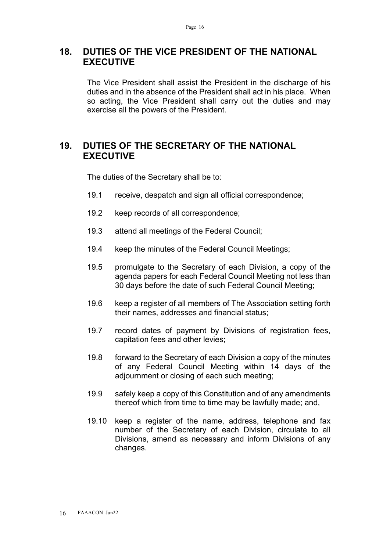#### **18. DUTIES OF THE VICE PRESIDENT OF THE NATIONAL EXECUTIVE**

The Vice President shall assist the President in the discharge of his duties and in the absence of the President shall act in his place. When so acting, the Vice President shall carry out the duties and may exercise all the powers of the President.

#### **19. DUTIES OF THE SECRETARY OF THE NATIONAL EXECUTIVE**

The duties of the Secretary shall be to:

- 19.1 receive, despatch and sign all official correspondence;
- 19.2 keep records of all correspondence;
- 19.3 attend all meetings of the Federal Council;
- 19.4 keep the minutes of the Federal Council Meetings;
- 19.5 promulgate to the Secretary of each Division, a copy of the agenda papers for each Federal Council Meeting not less than 30 days before the date of such Federal Council Meeting;
- 19.6 keep a register of all members of The Association setting forth their names, addresses and financial status;
- 19.7 record dates of payment by Divisions of registration fees, capitation fees and other levies;
- 19.8 forward to the Secretary of each Division a copy of the minutes of any Federal Council Meeting within 14 days of the adjournment or closing of each such meeting;
- 19.9 safely keep a copy of this Constitution and of any amendments thereof which from time to time may be lawfully made; and,
- 19.10 keep a register of the name, address, telephone and fax number of the Secretary of each Division, circulate to all Divisions, amend as necessary and inform Divisions of any changes.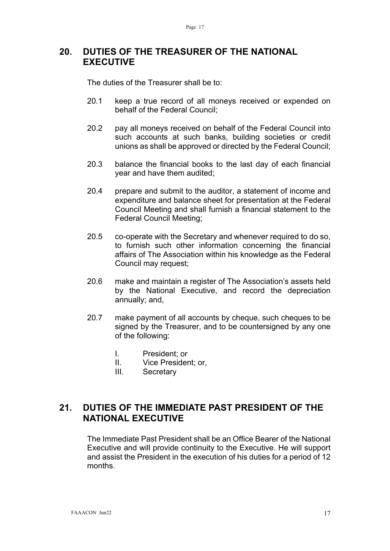#### **20. DUTIES OF THE TREASURER OF THE NATIONAL EXECUTIVE**

The duties of the Treasurer shall be to:

- 20.1 keep a true record of all moneys received or expended on behalf of the Federal Council;
- 20.2 pay all moneys received on behalf of the Federal Council into such accounts at such banks, building societies or credit unions as shall be approved or directed by the Federal Council;
- 20.3 balance the financial books to the last day of each financial year and have them audited;
- 20.4 prepare and submit to the auditor, a statement of income and expenditure and balance sheet for presentation at the Federal Council Meeting and shall furnish a financial statement to the Federal Council Meeting;
- 20.5 co-operate with the Secretary and whenever required to do so, to furnish such other information concerning the financial affairs of The Association within his knowledge as the Federal Council may request;
- 20.6 make and maintain a register of The Association's assets held by the National Executive, and record the depreciation annually; and,
- 20.7 make payment of all accounts by cheque, such cheques to be signed by the Treasurer, and to be countersigned by any one of the following:
	- I. President; or
	- II. Vice President; or,
	- III. Secretary

#### **21. DUTIES OF THE IMMEDIATE PAST PRESIDENT OF THE NATIONAL EXECUTIVE**

The Immediate Past President shall be an Office Bearer of the National Executive and will provide continuity to the Executive. He will support and assist the President in the execution of his duties for a period of 12 months.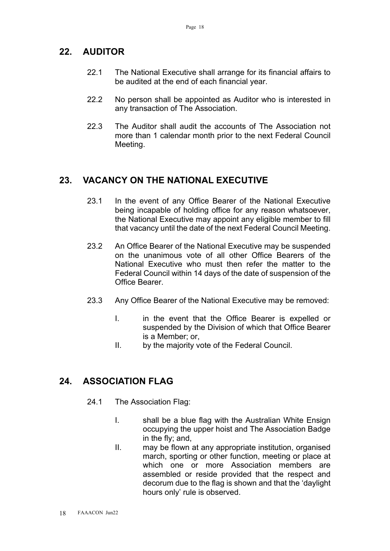## **22. AUDITOR**

- 22.1 The National Executive shall arrange for its financial affairs to be audited at the end of each financial year.
- 22.2 No person shall be appointed as Auditor who is interested in any transaction of The Association.
- 22.3 The Auditor shall audit the accounts of The Association not more than 1 calendar month prior to the next Federal Council Meeting.

# **23. VACANCY ON THE NATIONAL EXECUTIVE**

- 23.1 In the event of any Office Bearer of the National Executive being incapable of holding office for any reason whatsoever, the National Executive may appoint any eligible member to fill that vacancy until the date of the next Federal Council Meeting.
- 23.2 An Office Bearer of the National Executive may be suspended on the unanimous vote of all other Office Bearers of the National Executive who must then refer the matter to the Federal Council within 14 days of the date of suspension of the Office Bearer.
- 23.3 Any Office Bearer of the National Executive may be removed:
	- I. in the event that the Office Bearer is expelled or suspended by the Division of which that Office Bearer is a Member; or,
	- II. by the majority vote of the Federal Council.

# **24. ASSOCIATION FLAG**

- 24.1 The Association Flag:
	- I. shall be a blue flag with the Australian White Ensign occupying the upper hoist and The Association Badge in the fly; and,
	- II. may be flown at any appropriate institution, organised march, sporting or other function, meeting or place at which one or more Association members are assembled or reside provided that the respect and decorum due to the flag is shown and that the 'daylight hours only' rule is observed.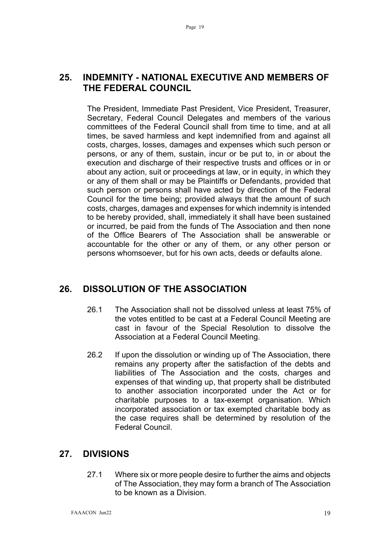#### **25. INDEMNITY - NATIONAL EXECUTIVE AND MEMBERS OF THE FEDERAL COUNCIL**

The President, Immediate Past President, Vice President, Treasurer, Secretary, Federal Council Delegates and members of the various committees of the Federal Council shall from time to time, and at all times, be saved harmless and kept indemnified from and against all costs, charges, losses, damages and expenses which such person or persons, or any of them, sustain, incur or be put to, in or about the execution and discharge of their respective trusts and offices or in or about any action, suit or proceedings at law, or in equity, in which they or any of them shall or may be Plaintiffs or Defendants, provided that such person or persons shall have acted by direction of the Federal Council for the time being; provided always that the amount of such costs, charges, damages and expenses for which indemnity is intended to be hereby provided, shall, immediately it shall have been sustained or incurred, be paid from the funds of The Association and then none of the Office Bearers of The Association shall be answerable or accountable for the other or any of them, or any other person or persons whomsoever, but for his own acts, deeds or defaults alone.

#### **26. DISSOLUTION OF THE ASSOCIATION**

- 26.1 The Association shall not be dissolved unless at least 75% of the votes entitled to be cast at a Federal Council Meeting are cast in favour of the Special Resolution to dissolve the Association at a Federal Council Meeting.
- 26.2 If upon the dissolution or winding up of The Association, there remains any property after the satisfaction of the debts and liabilities of The Association and the costs, charges and expenses of that winding up, that property shall be distributed to another association incorporated under the Act or for charitable purposes to a tax-exempt organisation. Which incorporated association or tax exempted charitable body as the case requires shall be determined by resolution of the Federal Council.

#### **27. DIVISIONS**

27.1 Where six or more people desire to further the aims and objects of The Association, they may form a branch of The Association to be known as a Division.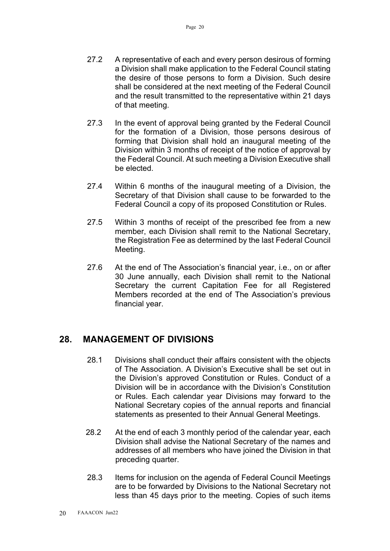- 27.2 A representative of each and every person desirous of forming a Division shall make application to the Federal Council stating the desire of those persons to form a Division. Such desire shall be considered at the next meeting of the Federal Council and the result transmitted to the representative within 21 days of that meeting.
- 27.3 In the event of approval being granted by the Federal Council for the formation of a Division, those persons desirous of forming that Division shall hold an inaugural meeting of the Division within 3 months of receipt of the notice of approval by the Federal Council. At such meeting a Division Executive shall be elected.
- 27.4 Within 6 months of the inaugural meeting of a Division, the Secretary of that Division shall cause to be forwarded to the Federal Council a copy of its proposed Constitution or Rules.
- 27.5 Within 3 months of receipt of the prescribed fee from a new member, each Division shall remit to the National Secretary, the Registration Fee as determined by the last Federal Council Meeting.
- 27.6 At the end of The Association's financial year, i.e., on or after 30 June annually, each Division shall remit to the National Secretary the current Capitation Fee for all Registered Members recorded at the end of The Association's previous financial year.

#### **28. MANAGEMENT OF DIVISIONS**

- 28.1 Divisions shall conduct their affairs consistent with the objects of The Association. A Division's Executive shall be set out in the Division's approved Constitution or Rules. Conduct of a Division will be in accordance with the Division's Constitution or Rules. Each calendar year Divisions may forward to the National Secretary copies of the annual reports and financial statements as presented to their Annual General Meetings.
- 28.2 At the end of each 3 monthly period of the calendar year, each Division shall advise the National Secretary of the names and addresses of all members who have joined the Division in that preceding quarter.
- 28.3 Items for inclusion on the agenda of Federal Council Meetings are to be forwarded by Divisions to the National Secretary not less than 45 days prior to the meeting. Copies of such items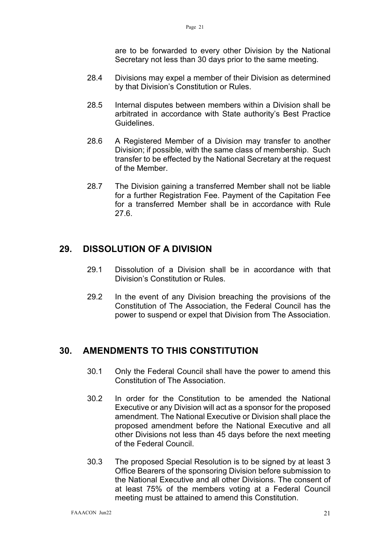are to be forwarded to every other Division by the National Secretary not less than 30 days prior to the same meeting.

- 28.4 Divisions may expel a member of their Division as determined by that Division's Constitution or Rules.
- 28.5 Internal disputes between members within a Division shall be arbitrated in accordance with State authority's Best Practice Guidelines.
- 28.6 A Registered Member of a Division may transfer to another Division; if possible, with the same class of membership. Such transfer to be effected by the National Secretary at the request of the Member.
- 28.7 The Division gaining a transferred Member shall not be liable for a further Registration Fee. Payment of the Capitation Fee for a transferred Member shall be in accordance with Rule 27.6.

#### **29. DISSOLUTION OF A DIVISION**

- 29.1 Dissolution of a Division shall be in accordance with that Division's Constitution or Rules.
- 29.2 In the event of any Division breaching the provisions of the Constitution of The Association, the Federal Council has the power to suspend or expel that Division from The Association.

#### **30. AMENDMENTS TO THIS CONSTITUTION**

- 30.1 Only the Federal Council shall have the power to amend this Constitution of The Association.
- 30.2 In order for the Constitution to be amended the National Executive or any Division will act as a sponsor for the proposed amendment. The National Executive or Division shall place the proposed amendment before the National Executive and all other Divisions not less than 45 days before the next meeting of the Federal Council.
- 30.3 The proposed Special Resolution is to be signed by at least 3 Office Bearers of the sponsoring Division before submission to the National Executive and all other Divisions. The consent of at least 75% of the members voting at a Federal Council meeting must be attained to amend this Constitution.